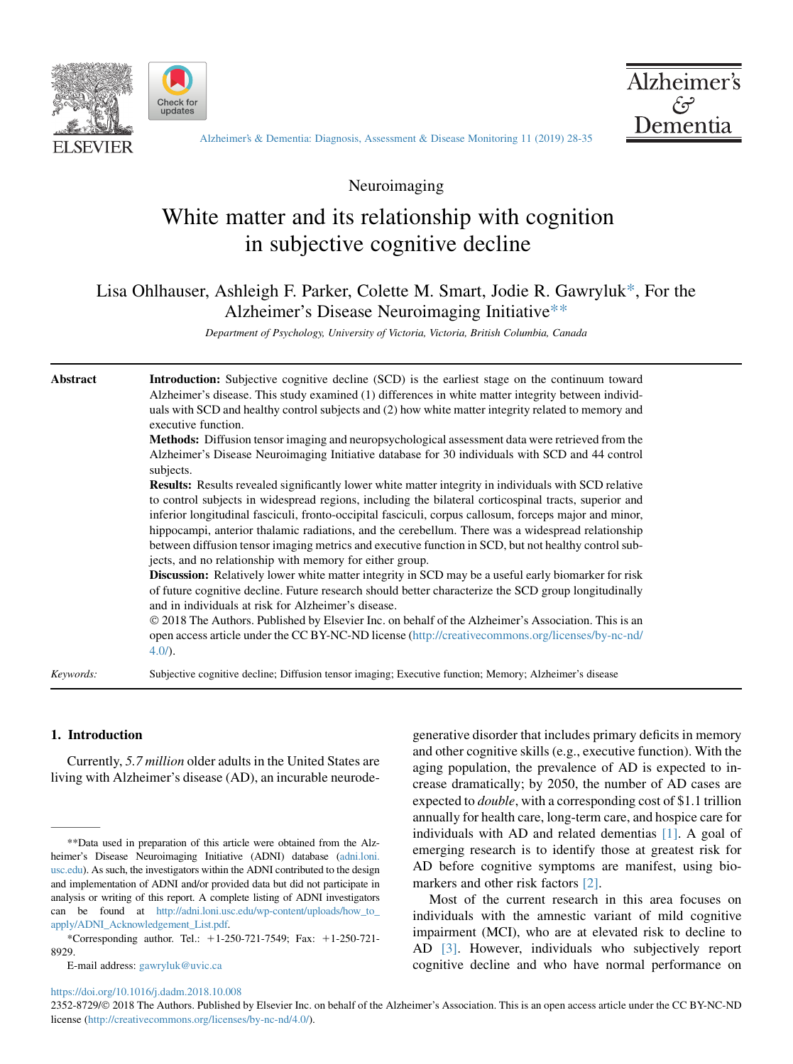





[Alzheimer's & Dementia: Diagnosis, Assessment & Disease Monitoring 11 \(2019\) 28-35](https://doi.org/10.1016/j.dadm.2018.10.008)

Neuroimaging

# White matter and its relationship with cognition in subjective cognitive decline

## Lisa Ohlhauser, Ashleigh F. Parker, Colette M. Smart, Jodie R. Gawryluk\*, For the Alzheimer's Disease Neuroimaging Initiative\*\*

Department of Psychology, University of Victoria, Victoria, British Columbia, Canada

Abstract Introduction: Subjective cognitive decline (SCD) is the earliest stage on the continuum toward Alzheimer's disease. This study examined (1) differences in white matter integrity between individuals with SCD and healthy control subjects and (2) how white matter integrity related to memory and executive function.

> Methods: Diffusion tensor imaging and neuropsychological assessment data were retrieved from the Alzheimer's Disease Neuroimaging Initiative database for 30 individuals with SCD and 44 control subjects.

> Results: Results revealed significantly lower white matter integrity in individuals with SCD relative to control subjects in widespread regions, including the bilateral corticospinal tracts, superior and inferior longitudinal fasciculi, fronto-occipital fasciculi, corpus callosum, forceps major and minor, hippocampi, anterior thalamic radiations, and the cerebellum. There was a widespread relationship between diffusion tensor imaging metrics and executive function in SCD, but not healthy control subjects, and no relationship with memory for either group.

> Discussion: Relatively lower white matter integrity in SCD may be a useful early biomarker for risk of future cognitive decline. Future research should better characterize the SCD group longitudinally and in individuals at risk for Alzheimer's disease.

> 2018 The Authors. Published by Elsevier Inc. on behalf of the Alzheimer's Association. This is an open access article under the CC BY-NC-ND license ([http://creativecommons.org/licenses/by-nc-nd/](http://creativecommons.org/licenses/by-nc-nd/4.0/)  $4.0/$ ).

Keywords: Subjective cognitive decline; Diffusion tensor imaging; Executive function; Memory; Alzheimer's disease

## 1. Introduction

Currently, 5.7 million older adults in the United States are living with Alzheimer's disease (AD), an incurable neurode-

E-mail address: [gawryluk@uvic.ca](mailto:gawryluk@uvic.ca)

generative disorder that includes primary deficits in memory and other cognitive skills (e.g., executive function). With the aging population, the prevalence of AD is expected to increase dramatically; by 2050, the number of AD cases are expected to *double*, with a corresponding cost of \$1.1 trillion annually for health care, long-term care, and hospice care for individuals with AD and related dementias [\[1\].](#page-7-0) A goal of emerging research is to identify those at greatest risk for AD before cognitive symptoms are manifest, using biomarkers and other risk factors [\[2\]](#page-7-0).

Most of the current research in this area focuses on individuals with the amnestic variant of mild cognitive impairment (MCI), who are at elevated risk to decline to AD [\[3\]](#page-7-0). However, individuals who subjectively report cognitive decline and who have normal performance on

#### <https://doi.org/10.1016/j.dadm.2018.10.008>

2352-8729/© 2018 The Authors. Published by Elsevier Inc. on behalf of the Alzheimer's Association. This is an open access article under the CC BY-NC-ND license ([http://creativecommons.org/licenses/by-nc-nd/4.0/\)](http://creativecommons.org/licenses/by-nc-nd/4.0/).

<sup>\*\*</sup>Data used in preparation of this article were obtained from the Alzheimer's Disease Neuroimaging Initiative (ADNI) database [\(adni.loni.](http://adni.loni.usc.edu) [usc.edu](http://adni.loni.usc.edu)). As such, the investigators within the ADNI contributed to the design and implementation of ADNI and/or provided data but did not participate in analysis or writing of this report. A complete listing of ADNI investigators can be found at [http://adni.loni.usc.edu/wp-content/uploads/how\\_to\\_](http://adni.loni.usc.edu/wp-content/uploads/how_to_apply/ADNI_Acknowledgement_List.pdf) [apply/ADNI\\_Acknowledgement\\_List.pdf](http://adni.loni.usc.edu/wp-content/uploads/how_to_apply/ADNI_Acknowledgement_List.pdf).

<sup>\*</sup>Corresponding author. Tel.: 11-250-721-7549; Fax: 11-250-721- 8929.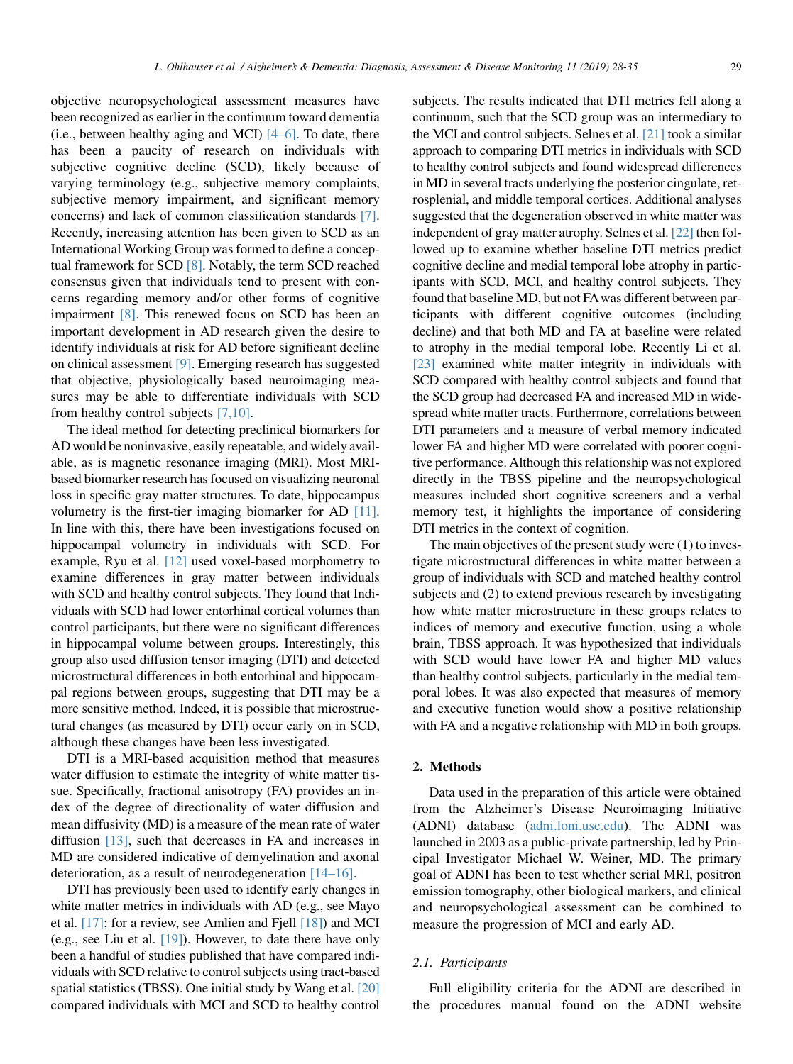objective neuropsychological assessment measures have been recognized as earlier in the continuum toward dementia (i.e., between healthy aging and MCI) [\[4–6\]](#page-7-0). To date, there has been a paucity of research on individuals with subjective cognitive decline (SCD), likely because of varying terminology (e.g., subjective memory complaints, subjective memory impairment, and significant memory concerns) and lack of common classification standards [\[7\].](#page-7-0) Recently, increasing attention has been given to SCD as an International Working Group was formed to define a conceptual framework for SCD [\[8\]](#page-7-0). Notably, the term SCD reached consensus given that individuals tend to present with concerns regarding memory and/or other forms of cognitive impairment [\[8\].](#page-7-0) This renewed focus on SCD has been an important development in AD research given the desire to identify individuals at risk for AD before significant decline on clinical assessment [\[9\]](#page-7-0). Emerging research has suggested that objective, physiologically based neuroimaging measures may be able to differentiate individuals with SCD from healthy control subjects [\[7,10\].](#page-7-0)

The ideal method for detecting preclinical biomarkers for AD would be noninvasive, easily repeatable, and widely available, as is magnetic resonance imaging (MRI). Most MRIbased biomarker research has focused on visualizing neuronal loss in specific gray matter structures. To date, hippocampus volumetry is the first-tier imaging biomarker for AD [\[11\].](#page-7-0) In line with this, there have been investigations focused on hippocampal volumetry in individuals with SCD. For example, Ryu et al. [\[12\]](#page-7-0) used voxel-based morphometry to examine differences in gray matter between individuals with SCD and healthy control subjects. They found that Individuals with SCD had lower entorhinal cortical volumes than control participants, but there were no significant differences in hippocampal volume between groups. Interestingly, this group also used diffusion tensor imaging (DTI) and detected microstructural differences in both entorhinal and hippocampal regions between groups, suggesting that DTI may be a more sensitive method. Indeed, it is possible that microstructural changes (as measured by DTI) occur early on in SCD, although these changes have been less investigated.

DTI is a MRI-based acquisition method that measures water diffusion to estimate the integrity of white matter tissue. Specifically, fractional anisotropy (FA) provides an index of the degree of directionality of water diffusion and mean diffusivity (MD) is a measure of the mean rate of water diffusion [\[13\]](#page-7-0), such that decreases in FA and increases in MD are considered indicative of demyelination and axonal deterioration, as a result of neurodegeneration [\[14–16\].](#page-7-0)

DTI has previously been used to identify early changes in white matter metrics in individuals with AD (e.g., see Mayo et al. [\[17\]](#page-7-0); for a review, see Amlien and Fjell [\[18\]](#page-7-0)) and MCI (e.g., see Liu et al.  $[19]$ ). However, to date there have only been a handful of studies published that have compared individuals with SCD relative to control subjects using tract-based spatial statistics (TBSS). One initial study by Wang et al. [\[20\]](#page-7-0) compared individuals with MCI and SCD to healthy control subjects. The results indicated that DTI metrics fell along a continuum, such that the SCD group was an intermediary to the MCI and control subjects. Selnes et al. [\[21\]](#page-7-0) took a similar approach to comparing DTI metrics in individuals with SCD to healthy control subjects and found widespread differences in MD in several tracts underlying the posterior cingulate, retrosplenial, and middle temporal cortices. Additional analyses suggested that the degeneration observed in white matter was independent of gray matter atrophy. Selnes et al. [\[22\]](#page-7-0) then followed up to examine whether baseline DTI metrics predict cognitive decline and medial temporal lobe atrophy in participants with SCD, MCI, and healthy control subjects. They found that baseline MD, but not FAwas different between participants with different cognitive outcomes (including decline) and that both MD and FA at baseline were related to atrophy in the medial temporal lobe. Recently Li et al. [\[23\]](#page-7-0) examined white matter integrity in individuals with SCD compared with healthy control subjects and found that the SCD group had decreased FA and increased MD in widespread white matter tracts. Furthermore, correlations between DTI parameters and a measure of verbal memory indicated lower FA and higher MD were correlated with poorer cognitive performance. Although this relationship was not explored directly in the TBSS pipeline and the neuropsychological measures included short cognitive screeners and a verbal memory test, it highlights the importance of considering DTI metrics in the context of cognition.

The main objectives of the present study were (1) to investigate microstructural differences in white matter between a group of individuals with SCD and matched healthy control subjects and (2) to extend previous research by investigating how white matter microstructure in these groups relates to indices of memory and executive function, using a whole brain, TBSS approach. It was hypothesized that individuals with SCD would have lower FA and higher MD values than healthy control subjects, particularly in the medial temporal lobes. It was also expected that measures of memory and executive function would show a positive relationship with FA and a negative relationship with MD in both groups.

## 2. Methods

Data used in the preparation of this article were obtained from the Alzheimer's Disease Neuroimaging Initiative (ADNI) database [\(adni.loni.usc.edu](http://adni.loni.usc.edu)). The ADNI was launched in 2003 as a public-private partnership, led by Principal Investigator Michael W. Weiner, MD. The primary goal of ADNI has been to test whether serial MRI, positron emission tomography, other biological markers, and clinical and neuropsychological assessment can be combined to measure the progression of MCI and early AD.

#### 2.1. Participants

Full eligibility criteria for the ADNI are described in the procedures manual found on the ADNI website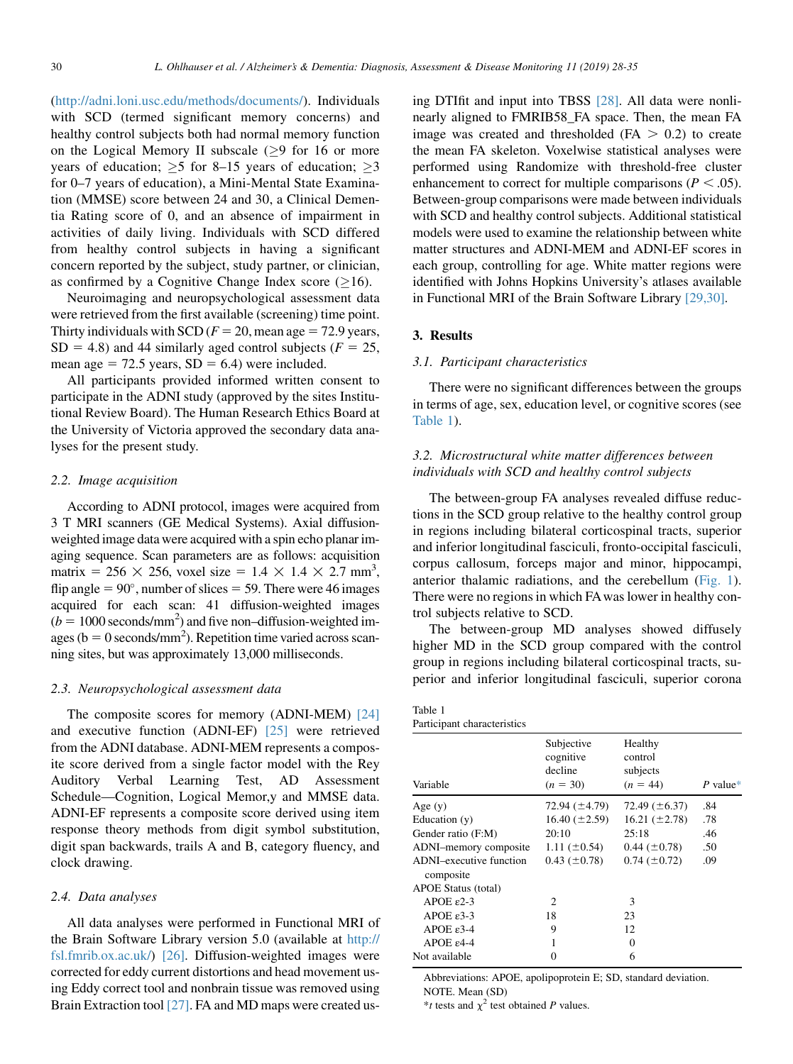[\(http://adni.loni.usc.edu/methods/documents/](http://adni.loni.usc.edu/methods/documents/)). Individuals with SCD (termed significant memory concerns) and healthy control subjects both had normal memory function on the Logical Memory II subscale  $(29$  for 16 or more years of education;  $\geq$  5 for 8–15 years of education;  $\geq$  3 for 0–7 years of education), a Mini-Mental State Examination (MMSE) score between 24 and 30, a Clinical Dementia Rating score of 0, and an absence of impairment in activities of daily living. Individuals with SCD differed from healthy control subjects in having a significant concern reported by the subject, study partner, or clinician, as confirmed by a Cognitive Change Index score  $(\geq 16)$ .

Neuroimaging and neuropsychological assessment data were retrieved from the first available (screening) time point. Thirty individuals with SCD ( $F = 20$ , mean age = 72.9 years,  $SD = 4.8$ ) and 44 similarly aged control subjects ( $F = 25$ , mean age  $= 72.5$  years, SD  $= 6.4$ ) were included.

All participants provided informed written consent to participate in the ADNI study (approved by the sites Institutional Review Board). The Human Research Ethics Board at the University of Victoria approved the secondary data analyses for the present study.

#### 2.2. Image acquisition

According to ADNI protocol, images were acquired from 3 T MRI scanners (GE Medical Systems). Axial diffusionweighted image data were acquired with a spin echo planar imaging sequence. Scan parameters are as follows: acquisition matrix = 256  $\times$  256, voxel size = 1.4  $\times$  1.4  $\times$  2.7 mm<sup>3</sup>, flip angle =  $90^{\circ}$ , number of slices = 59. There were 46 images acquired for each scan: 41 diffusion-weighted images  $(b = 1000$  seconds/mm<sup>2</sup>) and five non-diffusion-weighted images ( $b = 0$  seconds/mm<sup>2</sup>). Repetition time varied across scanning sites, but was approximately 13,000 milliseconds.

#### 2.3. Neuropsychological assessment data

The composite scores for memory (ADNI-MEM) [\[24\]](#page-7-0) and executive function (ADNI-EF) [\[25\]](#page-7-0) were retrieved from the ADNI database. ADNI-MEM represents a composite score derived from a single factor model with the Rey Auditory Verbal Learning Test, AD Assessment Schedule—Cognition, Logical Memor,y and MMSE data. ADNI-EF represents a composite score derived using item response theory methods from digit symbol substitution, digit span backwards, trails A and B, category fluency, and clock drawing.

#### 2.4. Data analyses

All data analyses were performed in Functional MRI of the Brain Software Library version 5.0 (available at [http://](http://fsl.fmrib.ox.ac.uk/) [fsl.fmrib.ox.ac.uk/\)](http://fsl.fmrib.ox.ac.uk/) [\[26\]](#page-7-0). Diffusion-weighted images were corrected for eddy current distortions and head movement using Eddy correct tool and nonbrain tissue was removed using Brain Extraction tool [\[27\].](#page-7-0) FA and MD maps were created using DTIfit and input into TBSS [\[28\].](#page-7-0) All data were nonlinearly aligned to FMRIB58\_FA space. Then, the mean FA image was created and thresholded ( $FA > 0.2$ ) to create the mean FA skeleton. Voxelwise statistical analyses were performed using Randomize with threshold-free cluster enhancement to correct for multiple comparisons ( $P < .05$ ). Between-group comparisons were made between individuals with SCD and healthy control subjects. Additional statistical models were used to examine the relationship between white matter structures and ADNI-MEM and ADNI-EF scores in each group, controlling for age. White matter regions were identified with Johns Hopkins University's atlases available in Functional MRI of the Brain Software Library [\[29,30\].](#page-7-0)

### 3. Results

### 3.1. Participant characteristics

There were no significant differences between the groups in terms of age, sex, education level, or cognitive scores (see Table 1).

## 3.2. Microstructural white matter differences between individuals with SCD and healthy control subjects

The between-group FA analyses revealed diffuse reductions in the SCD group relative to the healthy control group in regions including bilateral corticospinal tracts, superior and inferior longitudinal fasciculi, fronto-occipital fasciculi, corpus callosum, forceps major and minor, hippocampi, anterior thalamic radiations, and the cerebellum [\(Fig. 1](#page-3-0)). There were no regions in which FAwas lower in healthy control subjects relative to SCD.

The between-group MD analyses showed diffusely higher MD in the SCD group compared with the control group in regions including bilateral corticospinal tracts, superior and inferior longitudinal fasciculi, superior corona

Table 1 Participant characteristics

| Variable                                                           | Subjective<br>cognitive<br>decline<br>$(n = 30)$ | Healthy<br>control<br>subjects<br>$(n = 44)$ | P value* |
|--------------------------------------------------------------------|--------------------------------------------------|----------------------------------------------|----------|
| Age $(y)$                                                          | 72.94 (±4.79)                                    | 72.49 $(\pm 6.37)$                           | .84      |
| Education $(y)$                                                    | $16.40 (\pm 2.59)$                               | 16.21 $(\pm 2.78)$                           | .78      |
| Gender ratio (F:M)                                                 | 20:10                                            | 25:18                                        | .46      |
| ADNI-memory composite                                              | $1.11 (\pm 0.54)$                                | $0.44~(\pm 0.78)$                            | .50      |
| ADNI-executive function<br>composite<br><b>APOE Status (total)</b> | $0.43~(\pm 0.78)$                                | $0.74~(\pm 0.72)$                            | .09      |
| APOE ε2-3                                                          | 2                                                | 3                                            |          |
| APOE $\epsilon$ 3-3                                                | 18                                               | 23                                           |          |
| APOE $\epsilon$ 3-4                                                | 9                                                | 12                                           |          |
| APOE $\varepsilon$ 4-4                                             | 1                                                | $\Omega$                                     |          |
| Not available                                                      | 0                                                | 6                                            |          |

Abbreviations: APOE, apolipoprotein E; SD, standard deviation. NOTE. Mean (SD)

\*t tests and  $\chi^2$  test obtained P values.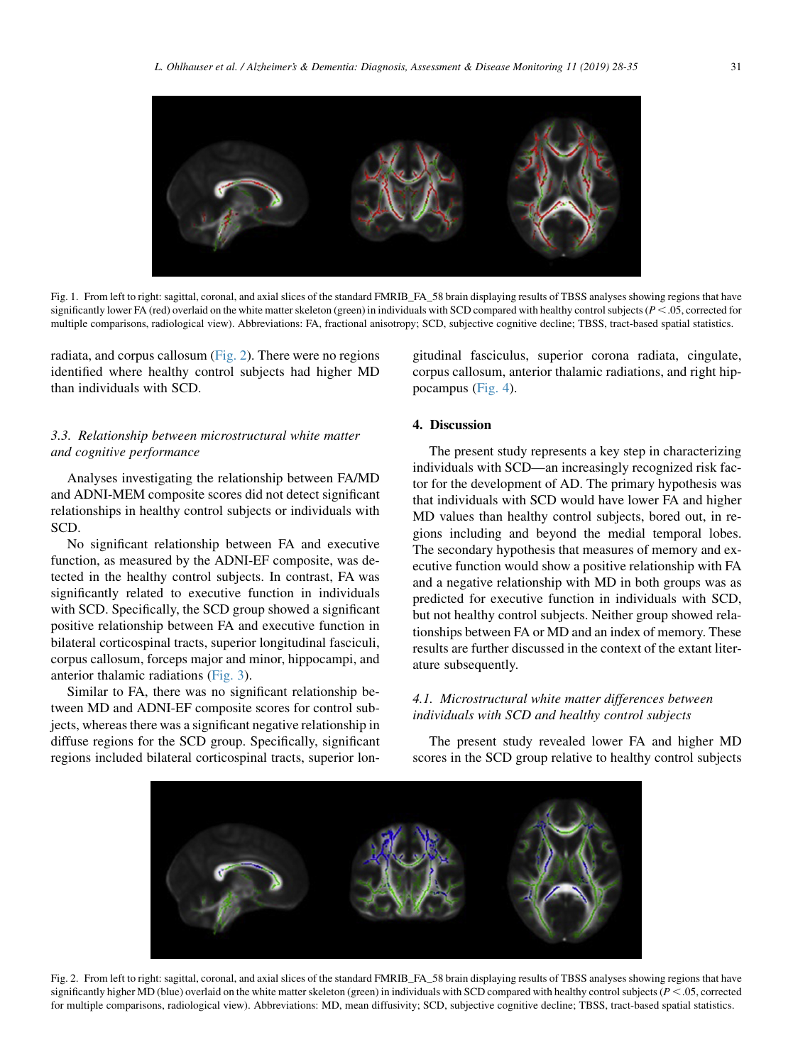<span id="page-3-0"></span>

Fig. 1. From left to right: sagittal, coronal, and axial slices of the standard FMRIB\_FA\_58 brain displaying results of TBSS analyses showing regions that have significantly lower FA (red) overlaid on the white matter skeleton (green) in individuals with SCD compared with healthy control subjects ( $P < .05$ , corrected for multiple comparisons, radiological view). Abbreviations: FA, fractional anisotropy; SCD, subjective cognitive decline; TBSS, tract-based spatial statistics.

radiata, and corpus callosum  $(Fig. 2)$ . There were no regions identified where healthy control subjects had higher MD than individuals with SCD.

## 3.3. Relationship between microstructural white matter and cognitive performance

Analyses investigating the relationship between FA/MD and ADNI-MEM composite scores did not detect significant relationships in healthy control subjects or individuals with SCD.

No significant relationship between FA and executive function, as measured by the ADNI-EF composite, was detected in the healthy control subjects. In contrast, FA was significantly related to executive function in individuals with SCD. Specifically, the SCD group showed a significant positive relationship between FA and executive function in bilateral corticospinal tracts, superior longitudinal fasciculi, corpus callosum, forceps major and minor, hippocampi, and anterior thalamic radiations ([Fig. 3\)](#page-4-0).

Similar to FA, there was no significant relationship between MD and ADNI-EF composite scores for control subjects, whereas there was a significant negative relationship in diffuse regions for the SCD group. Specifically, significant regions included bilateral corticospinal tracts, superior longitudinal fasciculus, superior corona radiata, cingulate, corpus callosum, anterior thalamic radiations, and right hippocampus ([Fig. 4](#page-4-0)).

## 4. Discussion

The present study represents a key step in characterizing individuals with SCD—an increasingly recognized risk factor for the development of AD. The primary hypothesis was that individuals with SCD would have lower FA and higher MD values than healthy control subjects, bored out, in regions including and beyond the medial temporal lobes. The secondary hypothesis that measures of memory and executive function would show a positive relationship with FA and a negative relationship with MD in both groups was as predicted for executive function in individuals with SCD, but not healthy control subjects. Neither group showed relationships between FA or MD and an index of memory. These results are further discussed in the context of the extant literature subsequently.

## 4.1. Microstructural white matter differences between individuals with SCD and healthy control subjects

The present study revealed lower FA and higher MD scores in the SCD group relative to healthy control subjects



Fig. 2. From left to right: sagittal, coronal, and axial slices of the standard FMRIB\_FA\_58 brain displaying results of TBSS analyses showing regions that have significantly higher MD (blue) overlaid on the white matter skeleton (green) in individuals with SCD compared with healthy control subjects ( $P < 0.05$ , corrected for multiple comparisons, radiological view). Abbreviations: MD, mean diffusivity; SCD, subjective cognitive decline; TBSS, tract-based spatial statistics.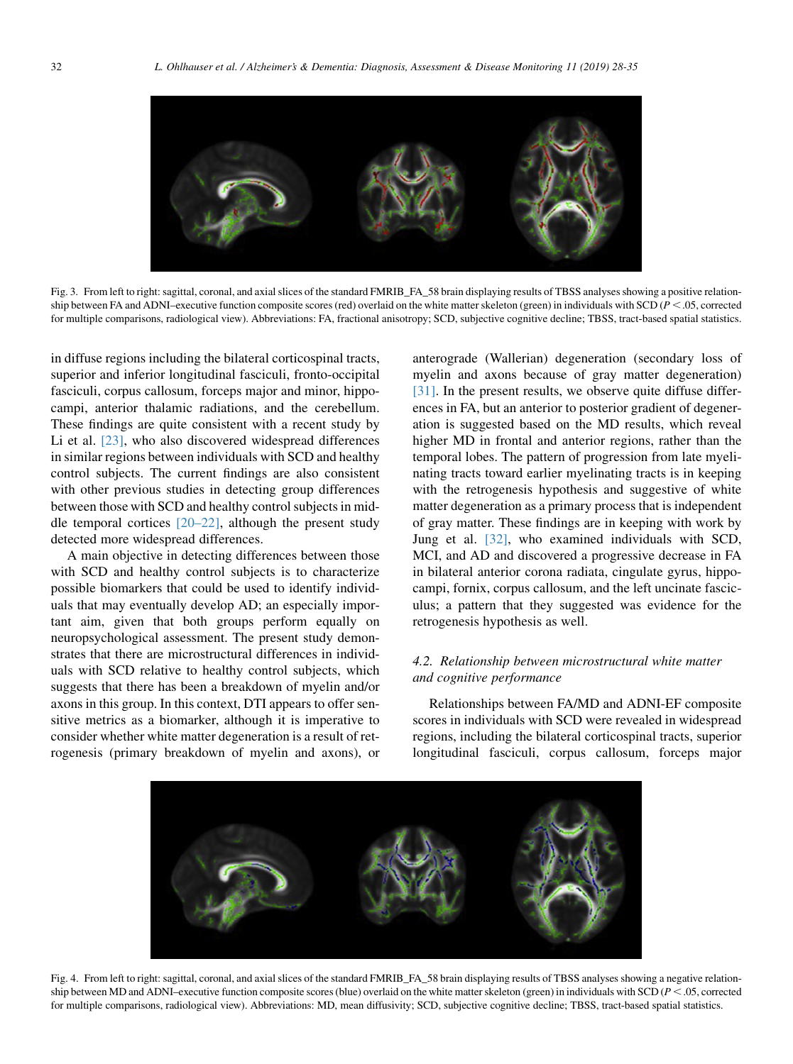<span id="page-4-0"></span>

Fig. 3. From left to right: sagittal, coronal, and axial slices of the standard FMRIB\_FA\_58 brain displaying results of TBSS analyses showing a positive relationship between FA and ADNI–executive function composite scores (red) overlaid on the white matter skeleton (green) in individuals with SCD ( $P < .05$ , corrected for multiple comparisons, radiological view). Abbreviations: FA, fractional anisotropy; SCD, subjective cognitive decline; TBSS, tract-based spatial statistics.

in diffuse regions including the bilateral corticospinal tracts, superior and inferior longitudinal fasciculi, fronto-occipital fasciculi, corpus callosum, forceps major and minor, hippocampi, anterior thalamic radiations, and the cerebellum. These findings are quite consistent with a recent study by Li et al. [\[23\],](#page-7-0) who also discovered widespread differences in similar regions between individuals with SCD and healthy control subjects. The current findings are also consistent with other previous studies in detecting group differences between those with SCD and healthy control subjects in middle temporal cortices  $[20-22]$ , although the present study detected more widespread differences.

A main objective in detecting differences between those with SCD and healthy control subjects is to characterize possible biomarkers that could be used to identify individuals that may eventually develop AD; an especially important aim, given that both groups perform equally on neuropsychological assessment. The present study demonstrates that there are microstructural differences in individuals with SCD relative to healthy control subjects, which suggests that there has been a breakdown of myelin and/or axons in this group. In this context, DTI appears to offer sensitive metrics as a biomarker, although it is imperative to consider whether white matter degeneration is a result of retrogenesis (primary breakdown of myelin and axons), or anterograde (Wallerian) degeneration (secondary loss of myelin and axons because of gray matter degeneration) [\[31\].](#page-7-0) In the present results, we observe quite diffuse differences in FA, but an anterior to posterior gradient of degeneration is suggested based on the MD results, which reveal higher MD in frontal and anterior regions, rather than the temporal lobes. The pattern of progression from late myelinating tracts toward earlier myelinating tracts is in keeping with the retrogenesis hypothesis and suggestive of white matter degeneration as a primary process that is independent of gray matter. These findings are in keeping with work by Jung et al. [\[32\]](#page-7-0), who examined individuals with SCD, MCI, and AD and discovered a progressive decrease in FA in bilateral anterior corona radiata, cingulate gyrus, hippocampi, fornix, corpus callosum, and the left uncinate fasciculus; a pattern that they suggested was evidence for the retrogenesis hypothesis as well.

## 4.2. Relationship between microstructural white matter and cognitive performance

Relationships between FA/MD and ADNI-EF composite scores in individuals with SCD were revealed in widespread regions, including the bilateral corticospinal tracts, superior longitudinal fasciculi, corpus callosum, forceps major



Fig. 4. From left to right: sagittal, coronal, and axial slices of the standard FMRIB\_FA\_58 brain displaying results of TBSS analyses showing a negative relationship between MD and ADNI–executive function composite scores (blue) overlaid on the white matter skeleton (green) in individuals with SCD ( $P < 0.05$ , corrected for multiple comparisons, radiological view). Abbreviations: MD, mean diffusivity; SCD, subjective cognitive decline; TBSS, tract-based spatial statistics.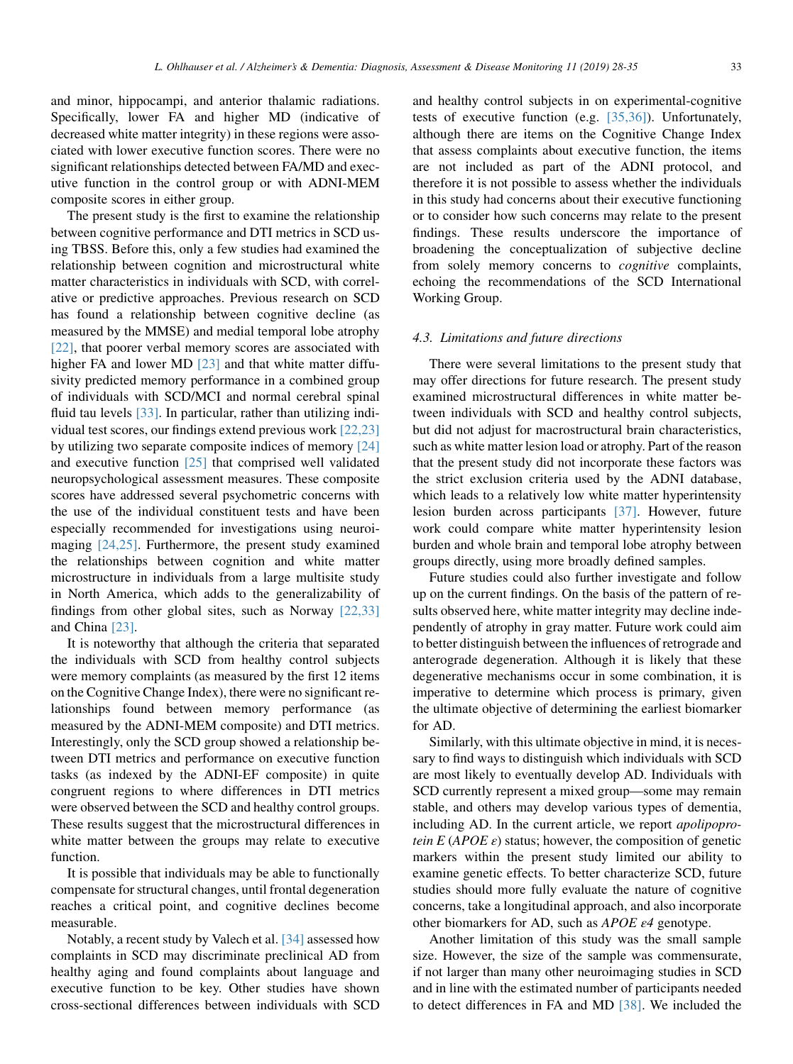and minor, hippocampi, and anterior thalamic radiations. Specifically, lower FA and higher MD (indicative of decreased white matter integrity) in these regions were associated with lower executive function scores. There were no significant relationships detected between FA/MD and executive function in the control group or with ADNI-MEM composite scores in either group.

The present study is the first to examine the relationship between cognitive performance and DTI metrics in SCD using TBSS. Before this, only a few studies had examined the relationship between cognition and microstructural white matter characteristics in individuals with SCD, with correlative or predictive approaches. Previous research on SCD has found a relationship between cognitive decline (as measured by the MMSE) and medial temporal lobe atrophy [\[22\],](#page-7-0) that poorer verbal memory scores are associated with higher FA and lower MD  $[23]$  and that white matter diffusivity predicted memory performance in a combined group of individuals with SCD/MCI and normal cerebral spinal fluid tau levels [\[33\]](#page-7-0). In particular, rather than utilizing individual test scores, our findings extend previous work [\[22,23\]](#page-7-0) by utilizing two separate composite indices of memory [\[24\]](#page-7-0) and executive function [\[25\]](#page-7-0) that comprised well validated neuropsychological assessment measures. These composite scores have addressed several psychometric concerns with the use of the individual constituent tests and have been especially recommended for investigations using neuroimaging [\[24,25\]](#page-7-0). Furthermore, the present study examined the relationships between cognition and white matter microstructure in individuals from a large multisite study in North America, which adds to the generalizability of findings from other global sites, such as Norway [\[22,33\]](#page-7-0) and China [\[23\].](#page-7-0)

It is noteworthy that although the criteria that separated the individuals with SCD from healthy control subjects were memory complaints (as measured by the first 12 items on the Cognitive Change Index), there were no significant relationships found between memory performance (as measured by the ADNI-MEM composite) and DTI metrics. Interestingly, only the SCD group showed a relationship between DTI metrics and performance on executive function tasks (as indexed by the ADNI-EF composite) in quite congruent regions to where differences in DTI metrics were observed between the SCD and healthy control groups. These results suggest that the microstructural differences in white matter between the groups may relate to executive function.

It is possible that individuals may be able to functionally compensate for structural changes, until frontal degeneration reaches a critical point, and cognitive declines become measurable.

Notably, a recent study by Valech et al. [\[34\]](#page-7-0) assessed how complaints in SCD may discriminate preclinical AD from healthy aging and found complaints about language and executive function to be key. Other studies have shown cross-sectional differences between individuals with SCD and healthy control subjects in on experimental-cognitive tests of executive function (e.g. [\[35,36\]](#page-7-0)). Unfortunately, although there are items on the Cognitive Change Index that assess complaints about executive function, the items are not included as part of the ADNI protocol, and therefore it is not possible to assess whether the individuals in this study had concerns about their executive functioning or to consider how such concerns may relate to the present findings. These results underscore the importance of broadening the conceptualization of subjective decline from solely memory concerns to *cognitive* complaints, echoing the recommendations of the SCD International Working Group.

#### 4.3. Limitations and future directions

There were several limitations to the present study that may offer directions for future research. The present study examined microstructural differences in white matter between individuals with SCD and healthy control subjects, but did not adjust for macrostructural brain characteristics, such as white matter lesion load or atrophy. Part of the reason that the present study did not incorporate these factors was the strict exclusion criteria used by the ADNI database, which leads to a relatively low white matter hyperintensity lesion burden across participants [\[37\].](#page-7-0) However, future work could compare white matter hyperintensity lesion burden and whole brain and temporal lobe atrophy between groups directly, using more broadly defined samples.

Future studies could also further investigate and follow up on the current findings. On the basis of the pattern of results observed here, white matter integrity may decline independently of atrophy in gray matter. Future work could aim to better distinguish between the influences of retrograde and anterograde degeneration. Although it is likely that these degenerative mechanisms occur in some combination, it is imperative to determine which process is primary, given the ultimate objective of determining the earliest biomarker for AD.

Similarly, with this ultimate objective in mind, it is necessary to find ways to distinguish which individuals with SCD are most likely to eventually develop AD. Individuals with SCD currently represent a mixed group—some may remain stable, and others may develop various types of dementia, including AD. In the current article, we report apolipoprotein E (APOE  $\varepsilon$ ) status; however, the composition of genetic markers within the present study limited our ability to examine genetic effects. To better characterize SCD, future studies should more fully evaluate the nature of cognitive concerns, take a longitudinal approach, and also incorporate other biomarkers for AD, such as APOE ε4 genotype.

Another limitation of this study was the small sample size. However, the size of the sample was commensurate, if not larger than many other neuroimaging studies in SCD and in line with the estimated number of participants needed to detect differences in FA and MD [\[38\]](#page-7-0). We included the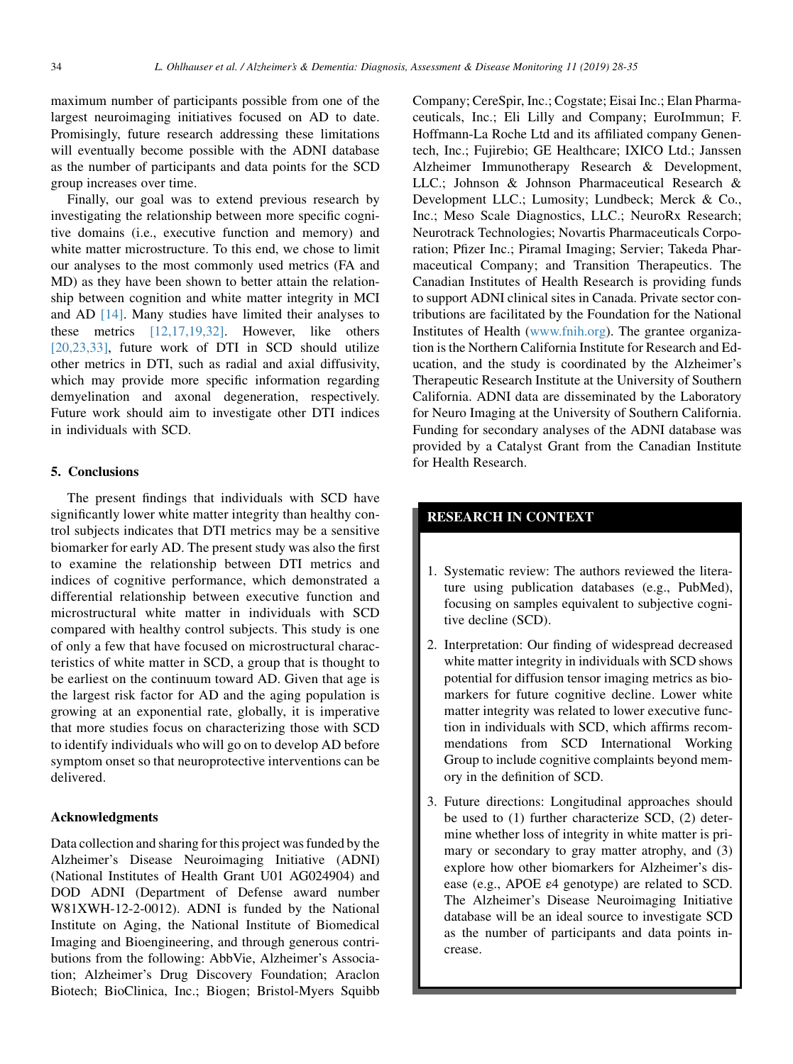maximum number of participants possible from one of the largest neuroimaging initiatives focused on AD to date. Promisingly, future research addressing these limitations will eventually become possible with the ADNI database as the number of participants and data points for the SCD group increases over time.

Finally, our goal was to extend previous research by investigating the relationship between more specific cognitive domains (i.e., executive function and memory) and white matter microstructure. To this end, we chose to limit our analyses to the most commonly used metrics (FA and MD) as they have been shown to better attain the relationship between cognition and white matter integrity in MCI and AD [\[14\].](#page-7-0) Many studies have limited their analyses to these metrics [\[12,17,19,32\].](#page-7-0) However, like others [\[20,23,33\],](#page-7-0) future work of DTI in SCD should utilize other metrics in DTI, such as radial and axial diffusivity, which may provide more specific information regarding demyelination and axonal degeneration, respectively. Future work should aim to investigate other DTI indices in individuals with SCD.

## 5. Conclusions

The present findings that individuals with SCD have significantly lower white matter integrity than healthy control subjects indicates that DTI metrics may be a sensitive biomarker for early AD. The present study was also the first to examine the relationship between DTI metrics and indices of cognitive performance, which demonstrated a differential relationship between executive function and microstructural white matter in individuals with SCD compared with healthy control subjects. This study is one of only a few that have focused on microstructural characteristics of white matter in SCD, a group that is thought to be earliest on the continuum toward AD. Given that age is the largest risk factor for AD and the aging population is growing at an exponential rate, globally, it is imperative that more studies focus on characterizing those with SCD to identify individuals who will go on to develop AD before symptom onset so that neuroprotective interventions can be delivered.

## Acknowledgments

Data collection and sharing for this project was funded by the Alzheimer's Disease Neuroimaging Initiative (ADNI) (National Institutes of Health Grant U01 AG024904) and DOD ADNI (Department of Defense award number W81XWH-12-2-0012). ADNI is funded by the National Institute on Aging, the National Institute of Biomedical Imaging and Bioengineering, and through generous contributions from the following: AbbVie, Alzheimer's Association; Alzheimer's Drug Discovery Foundation; Araclon Biotech; BioClinica, Inc.; Biogen; Bristol-Myers Squibb Company; CereSpir, Inc.; Cogstate; Eisai Inc.; Elan Pharmaceuticals, Inc.; Eli Lilly and Company; EuroImmun; F. Hoffmann-La Roche Ltd and its affiliated company Genentech, Inc.; Fujirebio; GE Healthcare; IXICO Ltd.; Janssen Alzheimer Immunotherapy Research & Development, LLC.; Johnson & Johnson Pharmaceutical Research & Development LLC.; Lumosity; Lundbeck; Merck & Co., Inc.; Meso Scale Diagnostics, LLC.; NeuroRx Research; Neurotrack Technologies; Novartis Pharmaceuticals Corporation; Pfizer Inc.; Piramal Imaging; Servier; Takeda Pharmaceutical Company; and Transition Therapeutics. The Canadian Institutes of Health Research is providing funds to support ADNI clinical sites in Canada. Private sector contributions are facilitated by the Foundation for the National Institutes of Health [\(www.fnih.org](http://www.fnih.org)). The grantee organization is the Northern California Institute for Research and Education, and the study is coordinated by the Alzheimer's Therapeutic Research Institute at the University of Southern California. ADNI data are disseminated by the Laboratory for Neuro Imaging at the University of Southern California. Funding for secondary analyses of the ADNI database was provided by a Catalyst Grant from the Canadian Institute for Health Research.

## RESEARCH IN CONTEXT

- 1. Systematic review: The authors reviewed the literature using publication databases (e.g., PubMed), focusing on samples equivalent to subjective cognitive decline (SCD).
- 2. Interpretation: Our finding of widespread decreased white matter integrity in individuals with SCD shows potential for diffusion tensor imaging metrics as biomarkers for future cognitive decline. Lower white matter integrity was related to lower executive function in individuals with SCD, which affirms recommendations from SCD International Working Group to include cognitive complaints beyond memory in the definition of SCD.
- 3. Future directions: Longitudinal approaches should be used to (1) further characterize SCD, (2) determine whether loss of integrity in white matter is primary or secondary to gray matter atrophy, and (3) explore how other biomarkers for Alzheimer's disease (e.g., APOE ε4 genotype) are related to SCD. The Alzheimer's Disease Neuroimaging Initiative database will be an ideal source to investigate SCD as the number of participants and data points increase.